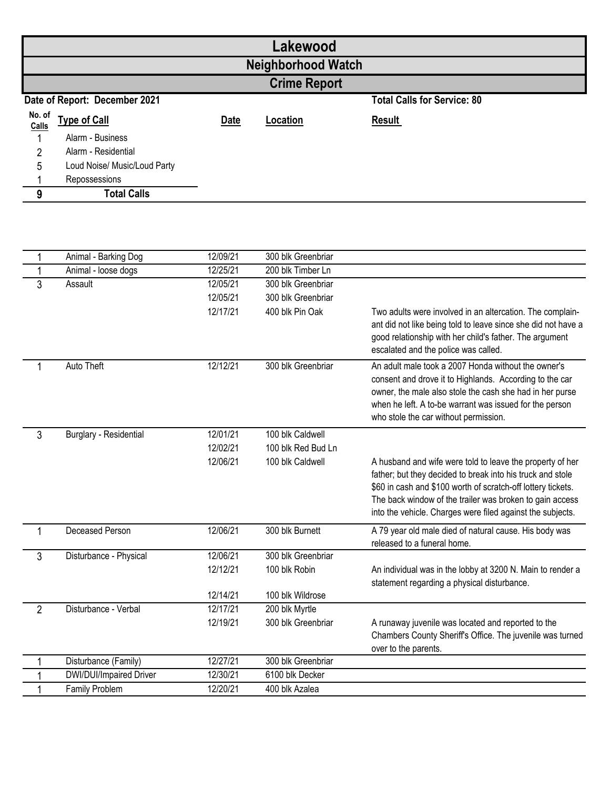| Lakewood                      |                              |             |          |                                    |  |  |
|-------------------------------|------------------------------|-------------|----------|------------------------------------|--|--|
| <b>Neighborhood Watch</b>     |                              |             |          |                                    |  |  |
| <b>Crime Report</b>           |                              |             |          |                                    |  |  |
| Date of Report: December 2021 |                              |             |          | <b>Total Calls for Service: 80</b> |  |  |
| No. of<br>Calls               | <b>Type of Call</b>          | <b>Date</b> | Location | <b>Result</b>                      |  |  |
|                               | Alarm - Business             |             |          |                                    |  |  |
| 2                             | Alarm - Residential          |             |          |                                    |  |  |
| 5                             | Loud Noise/ Music/Loud Party |             |          |                                    |  |  |
|                               | Repossessions                |             |          |                                    |  |  |
| 9                             | <b>Total Calls</b>           |             |          |                                    |  |  |

| 1              | Animal - Barking Dog    | 12/09/21 | 300 blk Greenbriar |                                                                                                                                                                                                                                                                                                                   |
|----------------|-------------------------|----------|--------------------|-------------------------------------------------------------------------------------------------------------------------------------------------------------------------------------------------------------------------------------------------------------------------------------------------------------------|
|                | Animal - loose dogs     | 12/25/21 | 200 blk Timber Ln  |                                                                                                                                                                                                                                                                                                                   |
| 3              | Assault                 | 12/05/21 | 300 blk Greenbriar |                                                                                                                                                                                                                                                                                                                   |
|                |                         | 12/05/21 | 300 blk Greenbriar |                                                                                                                                                                                                                                                                                                                   |
|                |                         | 12/17/21 | 400 blk Pin Oak    | Two adults were involved in an altercation. The complain-<br>ant did not like being told to leave since she did not have a<br>good relationship with her child's father. The argument<br>escalated and the police was called.                                                                                     |
| 1              | Auto Theft              | 12/12/21 | 300 blk Greenbriar | An adult male took a 2007 Honda without the owner's<br>consent and drove it to Highlands. According to the car<br>owner, the male also stole the cash she had in her purse<br>when he left. A to-be warrant was issued for the person<br>who stole the car without permission.                                    |
| $\mathbf{3}$   | Burglary - Residential  | 12/01/21 | 100 blk Caldwell   |                                                                                                                                                                                                                                                                                                                   |
|                |                         | 12/02/21 | 100 blk Red Bud Ln |                                                                                                                                                                                                                                                                                                                   |
|                |                         | 12/06/21 | 100 blk Caldwell   | A husband and wife were told to leave the property of her<br>father; but they decided to break into his truck and stole<br>\$60 in cash and \$100 worth of scratch-off lottery tickets.<br>The back window of the trailer was broken to gain access<br>into the vehicle. Charges were filed against the subjects. |
| $\mathbf{1}$   | Deceased Person         | 12/06/21 | 300 blk Burnett    | A 79 year old male died of natural cause. His body was<br>released to a funeral home.                                                                                                                                                                                                                             |
| 3              | Disturbance - Physical  | 12/06/21 | 300 blk Greenbriar |                                                                                                                                                                                                                                                                                                                   |
|                |                         | 12/12/21 | 100 blk Robin      | An individual was in the lobby at 3200 N. Main to render a<br>statement regarding a physical disturbance.                                                                                                                                                                                                         |
|                |                         | 12/14/21 | 100 blk Wildrose   |                                                                                                                                                                                                                                                                                                                   |
| $\overline{2}$ | Disturbance - Verbal    | 12/17/21 | 200 blk Myrtle     |                                                                                                                                                                                                                                                                                                                   |
|                |                         | 12/19/21 | 300 blk Greenbriar | A runaway juvenile was located and reported to the<br>Chambers County Sheriff's Office. The juvenile was turned<br>over to the parents.                                                                                                                                                                           |
| 1              | Disturbance (Family)    | 12/27/21 | 300 blk Greenbriar |                                                                                                                                                                                                                                                                                                                   |
|                | DWI/DUI/Impaired Driver | 12/30/21 | 6100 blk Decker    |                                                                                                                                                                                                                                                                                                                   |
|                | Family Problem          | 12/20/21 | 400 blk Azalea     |                                                                                                                                                                                                                                                                                                                   |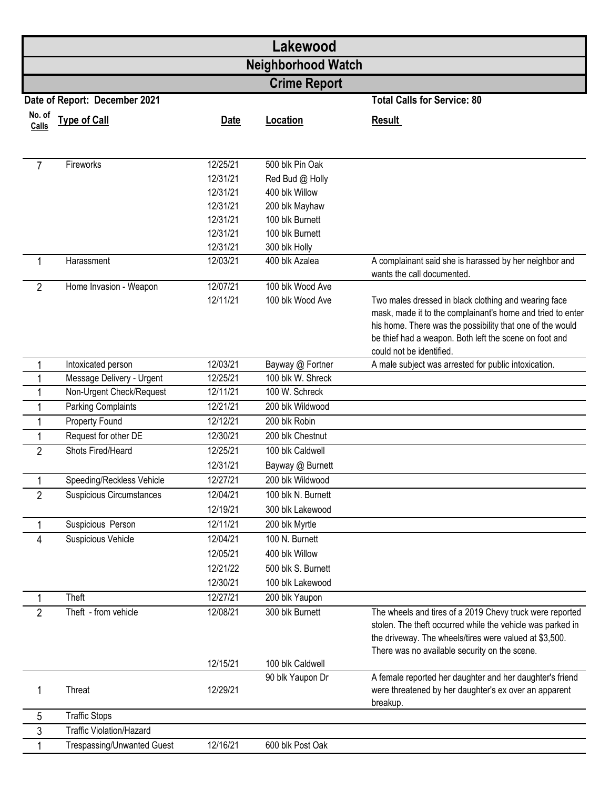|                     | Lakewood<br><b>Neighborhood Watch</b> |                      |                                   |                                                                                                                                                                                                                                                                       |  |  |
|---------------------|---------------------------------------|----------------------|-----------------------------------|-----------------------------------------------------------------------------------------------------------------------------------------------------------------------------------------------------------------------------------------------------------------------|--|--|
|                     |                                       |                      |                                   |                                                                                                                                                                                                                                                                       |  |  |
| <b>Crime Report</b> |                                       |                      |                                   |                                                                                                                                                                                                                                                                       |  |  |
|                     | Date of Report: December 2021         |                      |                                   | <b>Total Calls for Service: 80</b>                                                                                                                                                                                                                                    |  |  |
| No. of<br>Calls     | <b>Type of Call</b>                   | <b>Date</b>          | Location                          | <b>Result</b>                                                                                                                                                                                                                                                         |  |  |
| $\overline{7}$      | Fireworks                             | 12/25/21             | 500 blk Pin Oak                   |                                                                                                                                                                                                                                                                       |  |  |
|                     |                                       | 12/31/21             | Red Bud @ Holly                   |                                                                                                                                                                                                                                                                       |  |  |
|                     |                                       | 12/31/21<br>12/31/21 | 400 blk Willow                    |                                                                                                                                                                                                                                                                       |  |  |
|                     |                                       | 12/31/21             | 200 blk Mayhaw<br>100 blk Burnett |                                                                                                                                                                                                                                                                       |  |  |
|                     |                                       | 12/31/21             | 100 blk Burnett                   |                                                                                                                                                                                                                                                                       |  |  |
|                     |                                       | 12/31/21             | 300 blk Holly                     |                                                                                                                                                                                                                                                                       |  |  |
| 1                   | Harassment                            | 12/03/21             | 400 blk Azalea                    | A complainant said she is harassed by her neighbor and<br>wants the call documented.                                                                                                                                                                                  |  |  |
| $\overline{2}$      | Home Invasion - Weapon                | 12/07/21             | 100 blk Wood Ave                  |                                                                                                                                                                                                                                                                       |  |  |
|                     |                                       | 12/11/21             | 100 blk Wood Ave                  | Two males dressed in black clothing and wearing face<br>mask, made it to the complainant's home and tried to enter<br>his home. There was the possibility that one of the would<br>be thief had a weapon. Both left the scene on foot and<br>could not be identified. |  |  |
| 1                   | Intoxicated person                    | 12/03/21             | Bayway @ Fortner                  | A male subject was arrested for public intoxication.                                                                                                                                                                                                                  |  |  |
| 1                   | Message Delivery - Urgent             | 12/25/21             | 100 blk W. Shreck                 |                                                                                                                                                                                                                                                                       |  |  |
| $\mathbf{1}$        | Non-Urgent Check/Request              | 12/11/21             | 100 W. Schreck                    |                                                                                                                                                                                                                                                                       |  |  |
| 1                   | Parking Complaints                    | 12/21/21             | 200 blk Wildwood                  |                                                                                                                                                                                                                                                                       |  |  |
| 1                   | Property Found                        | 12/12/21             | 200 blk Robin                     |                                                                                                                                                                                                                                                                       |  |  |
| 1                   | Request for other DE                  | 12/30/21             | 200 blk Chestnut                  |                                                                                                                                                                                                                                                                       |  |  |
| $\overline{2}$      | Shots Fired/Heard                     | 12/25/21             | 100 blk Caldwell                  |                                                                                                                                                                                                                                                                       |  |  |
|                     |                                       | 12/31/21             | Bayway @ Burnett                  |                                                                                                                                                                                                                                                                       |  |  |
| $\mathbf{1}$        | Speeding/Reckless Vehicle             | 12/27/21             | 200 blk Wildwood                  |                                                                                                                                                                                                                                                                       |  |  |
| $\overline{2}$      | Suspicious Circumstances              | 12/04/21             | 100 blk N. Burnett                |                                                                                                                                                                                                                                                                       |  |  |
|                     |                                       | 12/19/21             | 300 blk Lakewood                  |                                                                                                                                                                                                                                                                       |  |  |
| 1                   | Suspicious Person                     | 12/11/21             | 200 blk Myrtle                    |                                                                                                                                                                                                                                                                       |  |  |
| 4                   | Suspicious Vehicle                    | 12/04/21             | 100 N. Burnett                    |                                                                                                                                                                                                                                                                       |  |  |
|                     |                                       | 12/05/21             | 400 blk Willow                    |                                                                                                                                                                                                                                                                       |  |  |
|                     |                                       | 12/21/22             | 500 blk S. Burnett                |                                                                                                                                                                                                                                                                       |  |  |
|                     |                                       | 12/30/21             | 100 blk Lakewood                  |                                                                                                                                                                                                                                                                       |  |  |
| 1                   | Theft                                 | 12/27/21             | 200 blk Yaupon                    |                                                                                                                                                                                                                                                                       |  |  |
| $\overline{2}$      | Theft - from vehicle                  | 12/08/21             | 300 blk Burnett                   | The wheels and tires of a 2019 Chevy truck were reported<br>stolen. The theft occurred while the vehicle was parked in<br>the driveway. The wheels/tires were valued at \$3,500.<br>There was no available security on the scene.                                     |  |  |
|                     |                                       | 12/15/21             | 100 blk Caldwell                  |                                                                                                                                                                                                                                                                       |  |  |
| 1                   | <b>Threat</b>                         | 12/29/21             | 90 blk Yaupon Dr                  | A female reported her daughter and her daughter's friend<br>were threatened by her daughter's ex over an apparent<br>breakup.                                                                                                                                         |  |  |
| 5                   | <b>Traffic Stops</b>                  |                      |                                   |                                                                                                                                                                                                                                                                       |  |  |
| 3                   | <b>Traffic Violation/Hazard</b>       |                      |                                   |                                                                                                                                                                                                                                                                       |  |  |
| 1                   | <b>Trespassing/Unwanted Guest</b>     | 12/16/21             | 600 blk Post Oak                  |                                                                                                                                                                                                                                                                       |  |  |